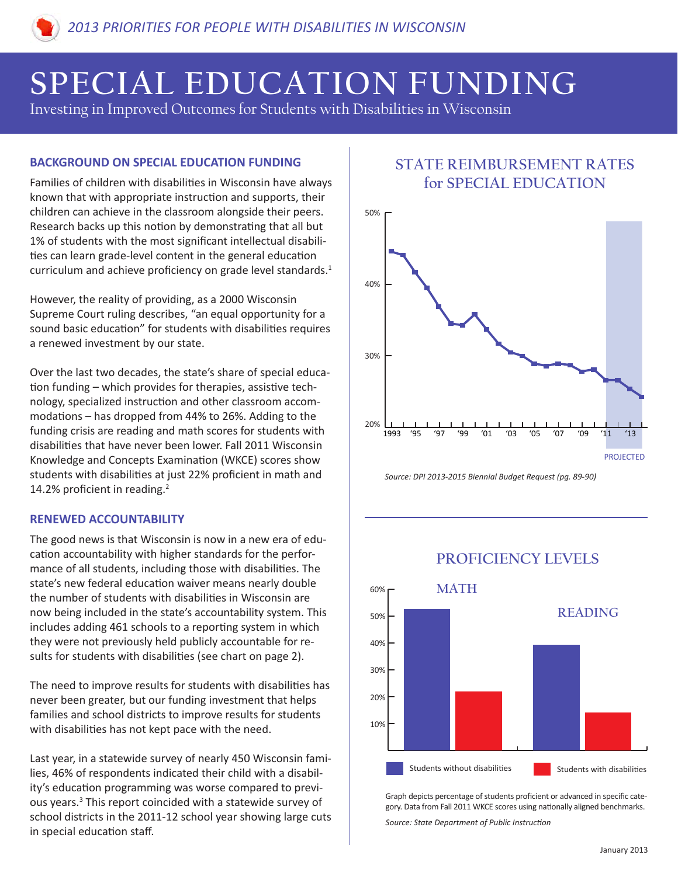# **SPECIAL EDUCATION FUNDING**

Investing in Improved Outcomes for Students with Disabilities in Wisconsin

### **BACKGROUND ON SPECIAL EDUCATION FUNDING**

Families of children with disabilities in Wisconsin have always known that with appropriate instruction and supports, their children can achieve in the classroom alongside their peers. Research backs up this notion by demonstrating that all but 1% of students with the most significant intellectual disabilities can learn grade-level content in the general education curriculum and achieve proficiency on grade level standards. $1$ 

However, the reality of providing, as a 2000 Wisconsin Supreme Court ruling describes, "an equal opportunity for a sound basic education" for students with disabilities requires a renewed investment by our state.

Over the last two decades, the state's share of special education funding – which provides for therapies, assistive technology, specialized instruction and other classroom accommodations – has dropped from 44% to 26%. Adding to the funding crisis are reading and math scores for students with disabilities that have never been lower. Fall 2011 Wisconsin Knowledge and Concepts Examination (WKCE) scores show students with disabilities at just 22% proficient in math and 14.2% proficient in reading.2

### **RENEWED ACCOUNTABILITY**

The good news is that Wisconsin is now in a new era of education accountability with higher standards for the performance of all students, including those with disabilities. The state's new federal education waiver means nearly double the number of students with disabilities in Wisconsin are now being included in the state's accountability system. This includes adding 461 schools to a reporting system in which they were not previously held publicly accountable for results for students with disabilities (see chart on page 2).

The need to improve results for students with disabilities has never been greater, but our funding investment that helps families and school districts to improve results for students with disabilities has not kept pace with the need.

Last year, in a statewide survey of nearly 450 Wisconsin families, 46% of respondents indicated their child with a disability's education programming was worse compared to previous years.<sup>3</sup> This report coincided with a statewide survey of school districts in the 2011-12 school year showing large cuts in special education staff.

# **STATE REIMBURSEMENT RATES for SPECIAL EDUCATION**



*Source: DPI 2013-2015 Biennial Budget Request (pg. 89-90)*



## **PROFICIENCY LEVELS**

Graph depicts percentage of students proficient or advanced in specific category. Data from Fall 2011 WKCE scores using nationally aligned benchmarks.

*Source: State Department of Public Instruction*